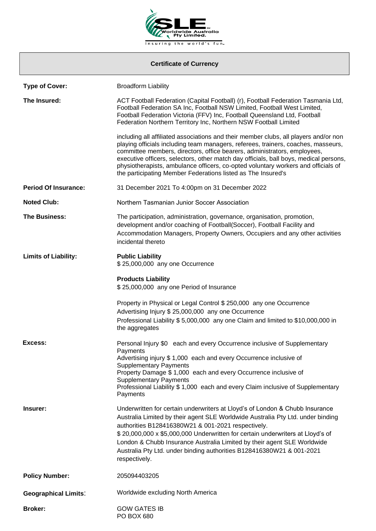

## **Certificate of Currency**

| <b>Type of Cover:</b>       | <b>Broadform Liability</b>                                                                                                                                                                                                                                                                                                                                                                                                                                                                          |
|-----------------------------|-----------------------------------------------------------------------------------------------------------------------------------------------------------------------------------------------------------------------------------------------------------------------------------------------------------------------------------------------------------------------------------------------------------------------------------------------------------------------------------------------------|
| The Insured:                | ACT Football Federation (Capital Football) (r), Football Federation Tasmania Ltd,<br>Football Federation SA Inc, Football NSW Limited, Football West Limited,<br>Football Federation Victoria (FFV) Inc, Football Queensland Ltd, Football<br>Federation Northern Territory Inc, Northern NSW Football Limited                                                                                                                                                                                      |
|                             | including all affiliated associations and their member clubs, all players and/or non<br>playing officials including team managers, referees, trainers, coaches, masseurs,<br>committee members, directors, office bearers, administrators, employees,<br>executive officers, selectors, other match day officials, ball boys, medical persons,<br>physiotherapists, ambulance officers, co-opted voluntary workers and officials of<br>the participating Member Federations listed as The Insured's |
| <b>Period Of Insurance:</b> | 31 December 2021 To 4:00pm on 31 December 2022                                                                                                                                                                                                                                                                                                                                                                                                                                                      |
| <b>Noted Club:</b>          | Northern Tasmanian Junior Soccer Association                                                                                                                                                                                                                                                                                                                                                                                                                                                        |
| <b>The Business:</b>        | The participation, administration, governance, organisation, promotion,<br>development and/or coaching of Football(Soccer), Football Facility and<br>Accommodation Managers, Property Owners, Occupiers and any other activities<br>incidental thereto                                                                                                                                                                                                                                              |
| <b>Limits of Liability:</b> | <b>Public Liability</b><br>\$25,000,000 any one Occurrence                                                                                                                                                                                                                                                                                                                                                                                                                                          |
|                             | <b>Products Liability</b><br>\$25,000,000 any one Period of Insurance                                                                                                                                                                                                                                                                                                                                                                                                                               |
|                             | Property in Physical or Legal Control \$ 250,000 any one Occurrence<br>Advertising Injury \$ 25,000,000 any one Occurrence<br>Professional Liability \$ 5,000,000 any one Claim and limited to \$10,000,000 in<br>the aggregates                                                                                                                                                                                                                                                                    |
| Excess:                     | Personal Injury \$0 each and every Occurrence inclusive of Supplementary<br>Payments<br>Advertising injury \$1,000 each and every Occurrence inclusive of<br><b>Supplementary Payments</b><br>Property Damage \$1,000 each and every Occurrence inclusive of<br><b>Supplementary Payments</b><br>Professional Liability \$ 1,000 each and every Claim inclusive of Supplementary<br>Payments                                                                                                        |
| Insurer:                    | Underwritten for certain underwriters at Lloyd's of London & Chubb Insurance<br>Australia Limited by their agent SLE Worldwide Australia Pty Ltd. under binding<br>authorities B128416380W21 & 001-2021 respectively.<br>\$20,000,000 x \$5,000,000 Underwritten for certain underwriters at Lloyd's of<br>London & Chubb Insurance Australia Limited by their agent SLE Worldwide<br>Australia Pty Ltd. under binding authorities B128416380W21 & 001-2021<br>respectively.                        |
| <b>Policy Number:</b>       | 205094403205                                                                                                                                                                                                                                                                                                                                                                                                                                                                                        |
| <b>Geographical Limits:</b> | Worldwide excluding North America                                                                                                                                                                                                                                                                                                                                                                                                                                                                   |
| <b>Broker:</b>              | <b>GOW GATES IB</b><br>PO BOX 680                                                                                                                                                                                                                                                                                                                                                                                                                                                                   |